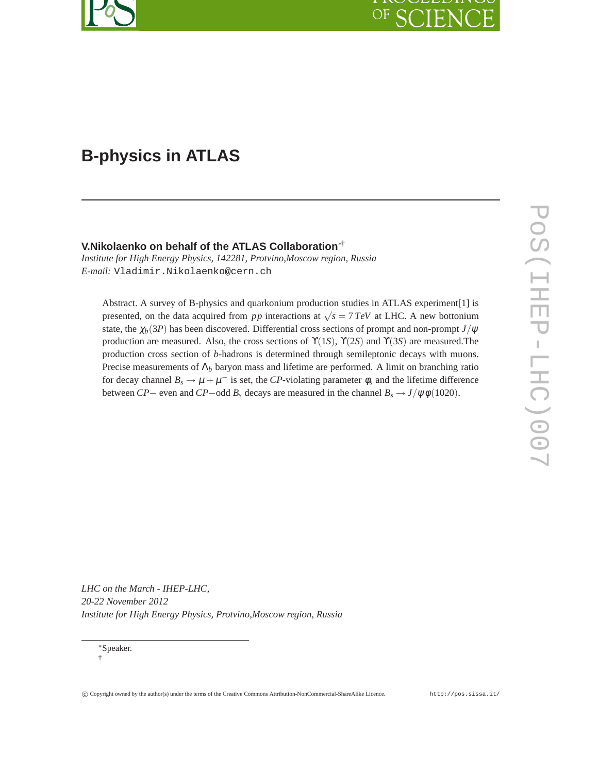# OF C

## **B-physics in ATLAS**

#### **V.Nikolaenko on behalf of the ATLAS Collaboration**∗†

*Institute for High Energy Physics, 142281, Protvino,Moscow region, Russia E-mail:* Vladimir.Nikolaenko@cern.ch

Abstract. A survey of B-physics and quarkonium production studies in ATLAS experiment[1] is presented, on the data acquired from *pp* interactions at  $\sqrt{s} = 7 \text{ TeV}$  at LHC. A new bottonium state, the  $\chi_b(3P)$  has been discovered. Differential cross sections of prompt and non-prompt  $J/\psi$ production are measured. Also, the cross sections of  $\Upsilon(1S)$ ,  $\Upsilon(2S)$  and  $\Upsilon(3S)$  are measured. The production cross section of *b*-hadrons is determined through semileptonic decays with muons. Precise measurements of  $\Lambda_b$  baryon mass and lifetime are performed. A limit on branching ratio for decay channel  $B_s \to \mu + \mu^-$  is set, the *CP*-violating parameter  $\phi_s$  and the lifetime difference between *CP*− even and *CP*−odd  $B_s$  decays are measured in the channel  $B_s \to J/\psi \phi (1020)$ .

*LHC on the March - IHEP-LHC, 20-22 November 2012 Institute for High Energy Physics, Protvino,Moscow region, Russia*

<sup>∗</sup>Speaker. †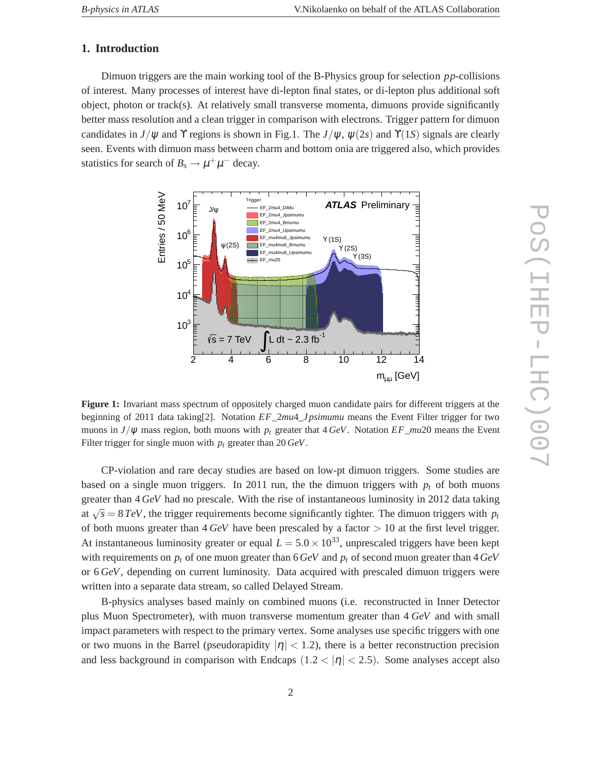#### **1. Introduction**

Dimuon triggers are the main working tool of the B-Physics group for selection *pp*-collisions of interest. Many processes of interest have di-lepton final states, or di-lepton plus additional soft object, photon or track(s). At relatively small transverse momenta, dimuons provide significantly better mass resolution and a clean trigger in comparison with electrons. Trigger pattern for dimuon candidates in *J*/ $\psi$  and  $\Upsilon$  regions is shown in Fig.1. The *J*/ $\psi$ ,  $\psi$ (2*s*) and  $\Upsilon$ (1*S*) signals are clearly seen. Events with dimuon mass between charm and bottom onia are triggered also, which provides statistics for search of  $B_s \to \mu^+ \mu^-$  decay.



**Figure 1:** Invariant mass spectrum of oppositely charged muon candidate pairs for different triggers at the beginning of 2011 data taking[2]. Notation *EF*\_2*mu*4\_*Jpsimumu* means the Event Filter trigger for two muons in  $J/\psi$  mass region, both muons with  $p_t$  greater that  $4 \text{ GeV}$ . Notation *EF*\_*mu*20 means the Event Filter trigger for single muon with *p<sup>t</sup>* greater than 20 *GeV*.

CP-violation and rare decay studies are based on low-pt dimuon triggers. Some studies are based on a single muon triggers. In 2011 run, the the dimuon triggers with  $p_t$  of both muons greater than 4 *GeV* had no prescale. With the rise of instantaneous luminosity in 2012 data taking at  $\sqrt{s} = 8 \text{ TeV}$ , the trigger requirements become significantly tighter. The dimuon triggers with  $p_t$ of both muons greater than  $4 \text{ GeV}$  have been prescaled by a factor  $> 10$  at the first level trigger. At instantaneous luminosity greater or equal  $L = 5.0 \times 10^{33}$ , unprescaled triggers have been kept with requirements on *p<sup>t</sup>* of one muon greater than 6*GeV* and *p<sup>t</sup>* of second muon greater than 4*GeV* or 6 *GeV*, depending on current luminosity. Data acquired with prescaled dimuon triggers were written into a separate data stream, so called Delayed Stream.

B-physics analyses based mainly on combined muons (i.e. reconstructed in Inner Detector plus Muon Spectrometer), with muon transverse momentum greater than 4 *GeV* and with small impact parameters with respect to the primary vertex. Some analyses use specific triggers with one or two muons in the Barrel (pseudorapidity  $|\eta| < 1.2$ ), there is a better reconstruction precision and less background in comparison with Endcaps  $(1.2 < |\eta| < 2.5)$ . Some analyses accept also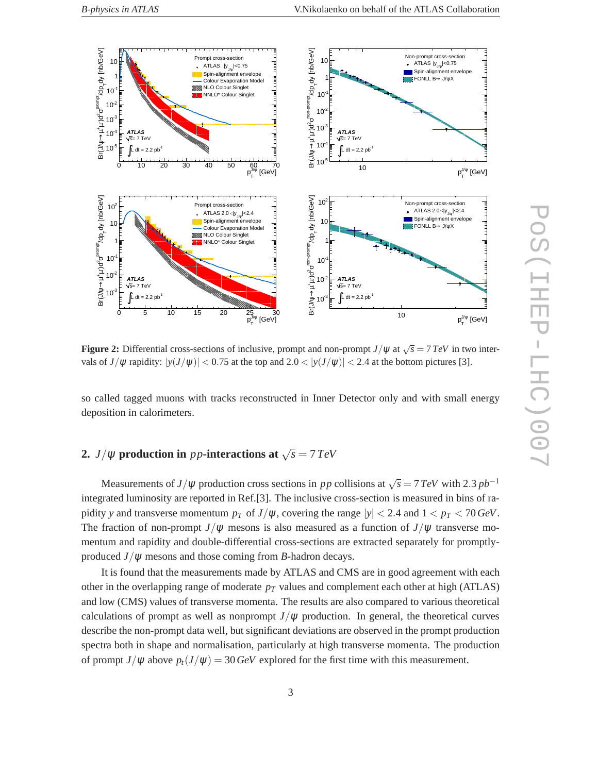

**Figure 2:** Differential cross-sections of inclusive, prompt and non-prompt  $J/\psi$  at  $\sqrt{s} = 7 \text{ TeV}$  in two intervals of  $J/\psi$  rapidity:  $|y(J/\psi)| < 0.75$  at the top and  $2.0 < |y(J/\psi)| < 2.4$  at the bottom pictures [3].

so called tagged muons with tracks reconstructed in Inner Detector only and with small energy deposition in calorimeters.

### **2.** *J*/ $\psi$  production in *pp*-interactions at  $\sqrt{s} = 7 \text{ TeV}$

Measurements of *J*/ $\psi$  production cross sections in *pp* collisions at  $\sqrt{s} = 7 \text{ TeV}$  with 2.3  $pb^{-1}$ integrated luminosity are reported in Ref.[3]. The inclusive cross-section is measured in bins of rapidity *y* and transverse momentum  $p_T$  of  $J/\psi$ , covering the range  $|y| < 2.4$  and  $1 < p_T < 70 \text{ GeV}$ . The fraction of non-prompt  $J/\psi$  mesons is also measured as a function of  $J/\psi$  transverse momentum and rapidity and double-differential cross-sections are extracted separately for promptlyproduced  $J/\psi$  mesons and those coming from *B*-hadron decays.

It is found that the measurements made by ATLAS and CMS are in good agreement with each other in the overlapping range of moderate  $p<sub>T</sub>$  values and complement each other at high (ATLAS) and low (CMS) values of transverse momenta. The results are also compared to various theoretical calculations of prompt as well as nonprompt  $J/\psi$  production. In general, the theoretical curves describe the non-prompt data well, but significant deviations are observed in the prompt production spectra both in shape and normalisation, particularly at high transverse momenta. The production of prompt  $J/\psi$  above  $p_t(J/\psi) = 30 \text{ GeV}$  explored for the first time with this measurement.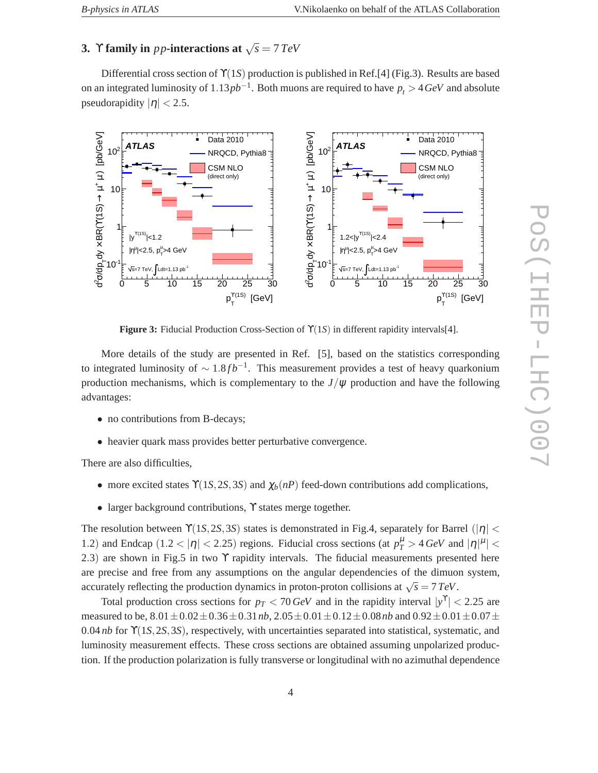### **3.**  $\Upsilon$  **family in** *pp*-interactions at  $\sqrt{s} = 7 \text{ TeV}$

Differential cross section of ϒ(1*S*) production is published in Ref.[4] (Fig.3). Results are based on an integrated luminosity of 1.13*pb*−<sup>1</sup> . Both muons are required to have *p<sup>t</sup>* > 4*GeV* and absolute pseudorapidity  $|\eta|$  < 2.5.



**Figure 3:** Fiducial Production Cross-Section of ϒ(1*S*) in different rapidity intervals[4].

More details of the study are presented in Ref. [5], based on the statistics corresponding to integrated luminosity of  $\sim 1.8 fb^{-1}$ . This measurement provides a test of heavy quarkonium production mechanisms, which is complementary to the  $J/\psi$  production and have the following advantages:

- no contributions from B-decays;
- heavier quark mass provides better perturbative convergence.

There are also difficulties,

- more excited states  $\Upsilon(1S, 2S, 3S)$  and  $\chi_b(n)$  feed-down contributions add complications,
- larger background contributions, Y states merge together.

The resolution between  $\Upsilon(1S, 2S, 3S)$  states is demonstrated in Fig.4, separately for Barrel ( $|\eta|$  < 1.2) and Endcap  $(1.2 < |\eta| < 2.25)$  regions. Fiducial cross sections (at  $p_T^{\mu} > 4 \text{ GeV}$  and  $|\eta|^{\mu}$  | < 2.3) are shown in Fig.5 in two ϒ rapidity intervals. The fiducial measurements presented here are precise and free from any assumptions on the angular dependencies of the dimuon system, accurately reflecting the production dynamics in proton-proton collisions at  $\sqrt{s} = 7 \text{ TeV}$ .

Total production cross sections for  $p_T < 70 \text{ GeV}$  and in the rapidity interval  $|y^T| < 2.25$  are measured to be,  $8.01 \pm 0.02 \pm 0.36 \pm 0.31$  *nb*,  $2.05 \pm 0.01 \pm 0.12 \pm 0.08$  *nb* and  $0.92 \pm 0.01 \pm 0.07 \pm 0.07$ 0.04 *nb* for ϒ(1*S*,2*S*,3*S*), respectively, with uncertainties separated into statistical, systematic, and luminosity measurement effects. These cross sections are obtained assuming unpolarized production. If the production polarization is fully transverse or longitudinal with no azimuthal dependence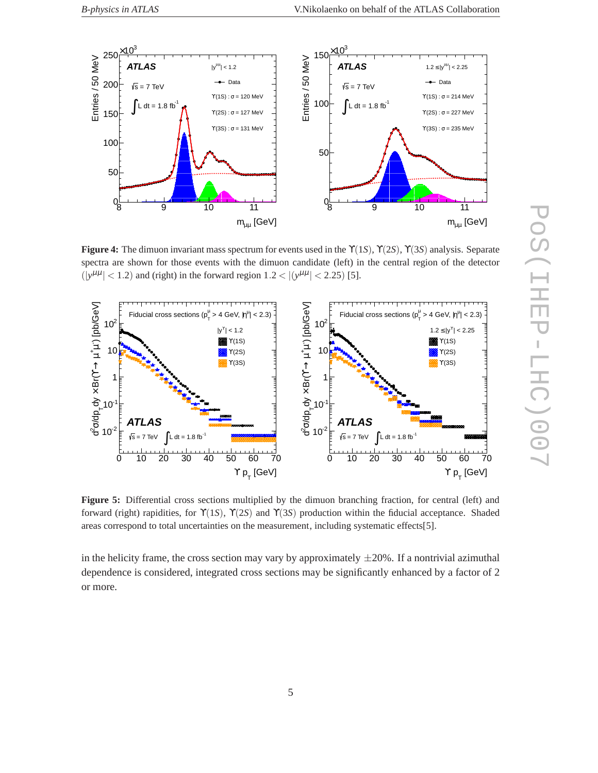

**Figure 4:** The dimuon invariant mass spectrum for events used in the ϒ(1*S*), ϒ(2*S*), ϒ(3*S*) analysis. Separate spectra are shown for those events with the dimuon candidate (left) in the central region of the detector  $(|y^{\mu\mu}| < 1.2)$  and (right) in the forward region  $1.2 < |(y^{\mu\mu}| < 2.25)$  [5].



**Figure 5:** Differential cross sections multiplied by the dimuon branching fraction, for central (left) and forward (right) rapidities, for ϒ(1*S*), ϒ(2*S*) and ϒ(3*S*) production within the fiducial acceptance. Shaded areas correspond to total uncertainties on the measurement, including systematic effects[5].

in the helicity frame, the cross section may vary by approximately  $\pm 20\%$ . If a nontrivial azimuthal dependence is considered, integrated cross sections may be significantly enhanced by a factor of 2 or more.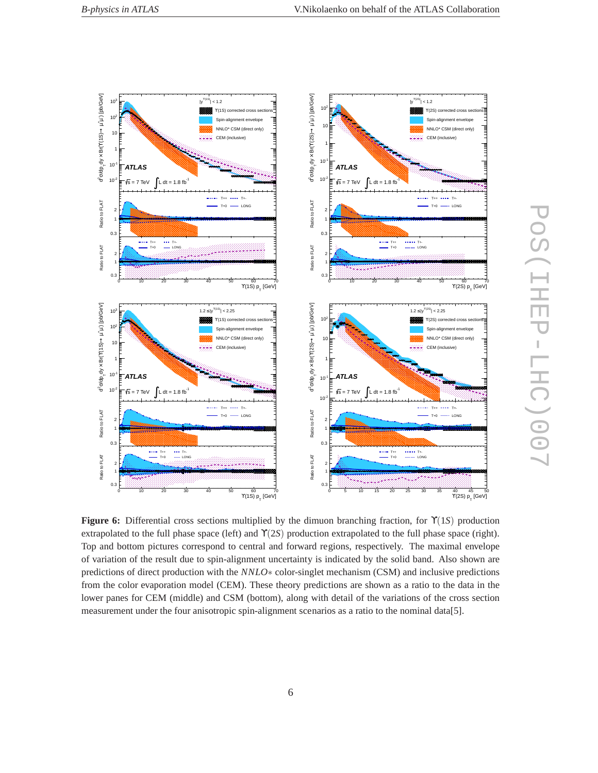

POS(IHEP-LHC)007 PoS(IHEP-LHC)007

**Figure 6:** Differential cross sections multiplied by the dimuon branching fraction, for ϒ(1*S*) production extrapolated to the full phase space (left) and ϒ(2*S*) production extrapolated to the full phase space (right). Top and bottom pictures correspond to central and forward regions, respectively. The maximal envelope of variation of the result due to spin-alignment uncertainty is indicated by the solid band. Also shown are predictions of direct production with the *NNLO*∗ color-singlet mechanism (CSM) and inclusive predictions from the color evaporation model (CEM). These theory predictions are shown as a ratio to the data in the lower panes for CEM (middle) and CSM (bottom), along with detail of the variations of the cross section measurement under the four anisotropic spin-alignment scenarios as a ratio to the nominal data[5].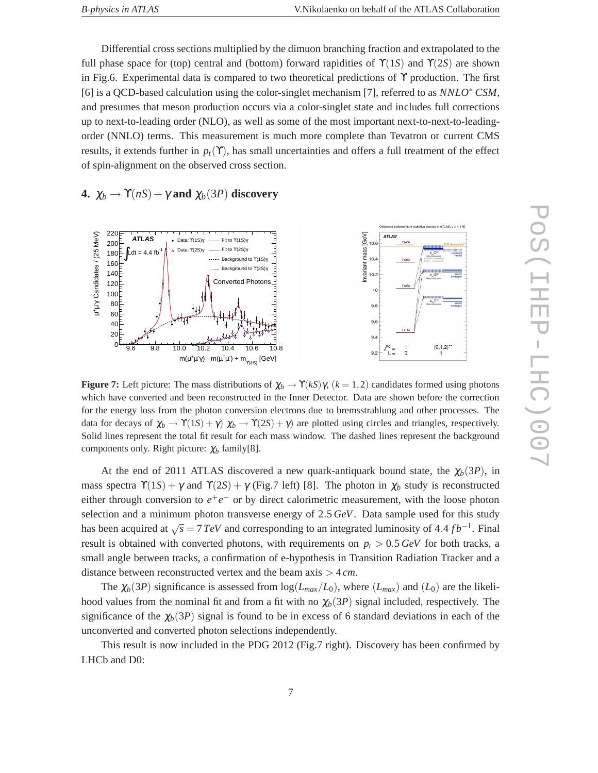Differential cross sections multiplied by the dimuon branching fraction and extrapolated to the full phase space for (top) central and (bottom) forward rapidities of  $\Upsilon(1S)$  and  $\Upsilon(2S)$  are shown in Fig.6. Experimental data is compared to two theoretical predictions of  $\Upsilon$  production. The first [6] is a QCD-based calculation using the color-singlet mechanism [7], referred to as *NNLO*∗ *CSM*, and presumes that meson production occurs via a color-singlet state and includes full corrections up to next-to-leading order (NLO), as well as some of the most important next-to-next-to-leadingorder (NNLO) terms. This measurement is much more complete than Tevatron or current CMS results, it extends further in  $p_t(\Upsilon)$ , has small uncertainties and offers a full treatment of the effect of spin-alignment on the observed cross section.

**4.**  $\chi_b \to \Upsilon(nS) + \gamma$  and  $\chi_b(3P)$  discovery



**Figure 7:** Left picture: The mass distributions of  $\chi_b \to \Upsilon(kS)\gamma$ ,  $(k = 1, 2)$  candidates formed using photons which have converted and been reconstructed in the Inner Detector. Data are shown before the correction for the energy loss from the photon conversion electrons due to bremsstrahlung and other processes. The data for decays of  $\chi_b \to \Upsilon(1S) + \gamma$ )  $\chi_b \to \Upsilon(2S) + \gamma$  are plotted using circles and triangles, respectively. Solid lines represent the total fit result for each mass window. The dashed lines represent the background components only. Right picture: <sup>χ</sup>*<sup>b</sup>* family[8].

At the end of 2011 ATLAS discovered a new quark-antiquark bound state, the  $\chi_b(3P)$ , in mass spectra  $\Upsilon(1S) + \gamma$  and  $\Upsilon(2S) + \gamma$  (Fig.7 left) [8]. The photon in  $\chi_b$  study is reconstructed either through conversion to  $e^+e^-$  or by direct calorimetric measurement, with the loose photon selection and a minimum photon transverse energy of 2.5 *GeV*. Data sample used for this study has been acquired at  $\sqrt{s} = 7 \text{ TeV}$  and corresponding to an integrated luminosity of 4.4 *fb*<sup>−1</sup>. Final result is obtained with converted photons, with requirements on  $p_t > 0.5 \text{ GeV}$  for both tracks, a small angle between tracks, a confirmation of e-hypothesis in Transition Radiation Tracker and a distance between reconstructed vertex and the beam axis > 4 *cm*.

The  $\chi_b(3P)$  significance is assessed from  $\log(L_{max}/L_0)$ , where  $(L_{max})$  and  $(L_0)$  are the likelihood values from the nominal fit and from a fit with no  $\chi_b(3P)$  signal included, respectively. The significance of the  $\chi_b(3P)$  signal is found to be in excess of 6 standard deviations in each of the unconverted and converted photon selections independently.

This result is now included in the PDG 2012 (Fig.7 right). Discovery has been confirmed by LHCb and D0: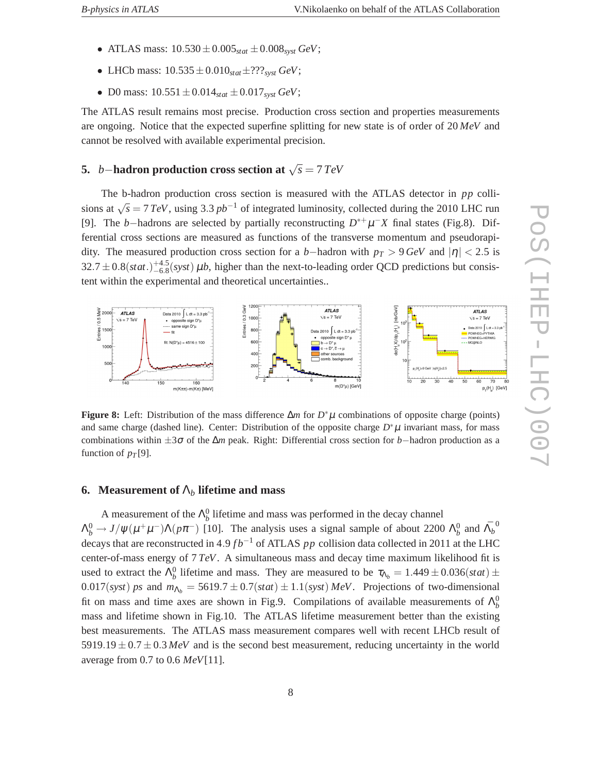- ATLAS mass:  $10.530 \pm 0.005_{stat} \pm 0.008_{syst}$  *GeV*;
- LHCb mass:  $10.535 \pm 0.010_{stat} \pm ???_{syst} GeV$ ;
- D0 mass:  $10.551 \pm 0.014_{stat} \pm 0.017_{syst}$  *GeV*;

The ATLAS result remains most precise. Production cross section and properties measurements are ongoing. Notice that the expected superfine splitting for new state is of order of 20 *MeV* and cannot be resolved with available experimental precision.

### **5.** *<sup>b</sup>*−**hadron production cross section at** <sup>√</sup> *s* = 7*TeV*

The b-hadron production cross section is measured with the ATLAS detector in *pp* collisions at  $\sqrt{s} = 7 \text{ TeV}$ , using 3.3 *pb*<sup>-1</sup> of integrated luminosity, collected during the 2010 LHC run [9]. The *b*−hadrons are selected by partially reconstructing  $D^{*+}\mu^-X$  final states (Fig.8). Differential cross sections are measured as functions of the transverse momentum and pseudorapidity. The measured production cross section for a *b*−hadron with  $p_T > 9$  *GeV* and  $|\eta| < 2.5$  is  $32.7 \pm 0.8(stat.)^{+4.5}_{-6.8}(syst) \,\mu b$ , higher than the next-to-leading order QCD predictions but consistent within the experimental and theoretical uncertainties..



**Figure 8:** Left: Distribution of the mass difference ∆*m* for *D* ∗µ combinations of opposite charge (points) and same charge (dashed line). Center: Distribution of the opposite charge  $D^*\mu$  invariant mass, for mass combinations within ±3<sup>σ</sup> of the ∆*m* peak. Right: Differential cross section for *b*−hadron production as a function of  $p_T[9]$ .

#### **6. Measurement of** Λ*<sup>b</sup>* **lifetime and mass**

A measurement of the  $\Lambda_b^0$  lifetime and mass was performed in the decay channel  $\Lambda_b^0 \to J/\psi(\mu^+\mu^-)\Lambda(p\pi^-)$  [10]. The analysis uses a signal sample of about 2200  $\Lambda_b^0$  and  $\bar{\Lambda_b}^0$ decays that are reconstructed in 4.9 *fb*<sup>−1</sup> of ATLAS *pp* collision data collected in 2011 at the LHC center-of-mass energy of 7 *TeV*. A simultaneous mass and decay time maximum likelihood fit is used to extract the  $\Lambda_b^0$  lifetime and mass. They are measured to be  $\tau_{\Lambda_b} = 1.449 \pm 0.036(stat) \pm 0.036(stat)$  $0.017(syst)$  *ps* and  $m_{\Lambda_b} = 5619.7 \pm 0.7(stat) \pm 1.1(syst)$  *MeV*. Projections of two-dimensional fit on mass and time axes are shown in Fig.9. Compilations of available measurements of  $\Lambda_b^0$ mass and lifetime shown in Fig.10. The ATLAS lifetime measurement better than the existing best measurements. The ATLAS mass measurement compares well with recent LHCb result of  $5919.19 \pm 0.7 \pm 0.3$  *MeV* and is the second best measurement, reducing uncertainty in the world average from 0.7 to 0.6 *MeV*[11].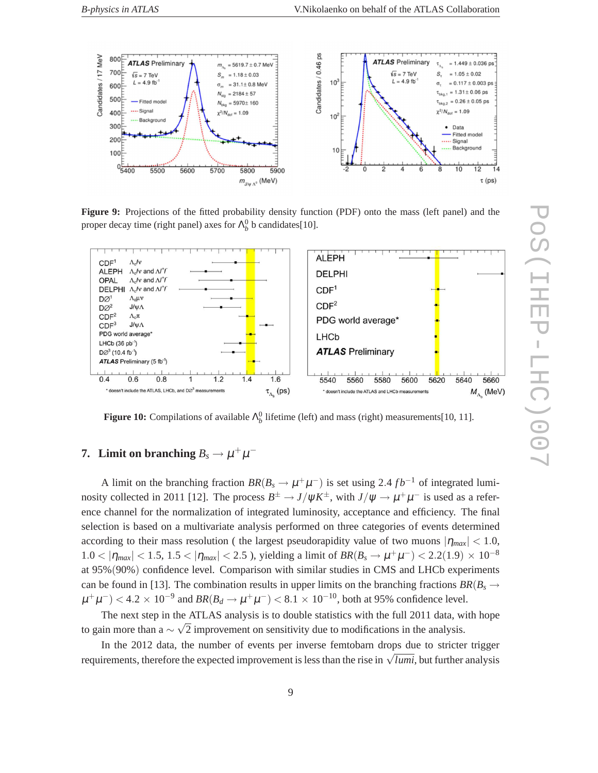

**Figure 9:** Projections of the fitted probability density function (PDF) onto the mass (left panel) and the proper decay time (right panel) axes for  $\Lambda_b^0$  b candidates[10].



**Figure 10:** Compilations of available  $\Lambda_b^0$  lifetime (left) and mass (right) measurements[10, 11].

### **7.** Limit on branching  $B_s \to \mu^+ \mu^-$

A limit on the branching fraction  $BR(B_s \to \mu^+ \mu^-)$  is set using 2.4  $fb^{-1}$  of integrated luminosity collected in 2011 [12]. The process  $B^{\pm} \to J/\psi K^{\pm}$ , with  $J/\psi \to \mu^+ \mu^-$  is used as a reference channel for the normalization of integrated luminosity, acceptance and efficiency. The final selection is based on a multivariate analysis performed on three categories of events determined according to their mass resolution ( the largest pseudorapidity value of two muons  $|\eta_{max}| < 1.0$ ,  $1.0 < |\eta_{max}| < 1.5$ ,  $1.5 < |\eta_{max}| < 2.5$ ), yielding a limit of  $BR(B_s \to \mu^+\mu^-) < 2.2(1.9) \times 10^{-8}$ at 95%(90%) confidence level. Comparison with similar studies in CMS and LHCb experiments can be found in [13]. The combination results in upper limits on the branching fractions  $BR(B_s \rightarrow$  $\mu^+\mu^-$  < 4.2 × 10<sup>-9</sup> and  $BR(B_d \to \mu^+\mu^-)$  < 8.1 × 10<sup>-10</sup>, both at 95% confidence level.

The next step in the ATLAS analysis is to double statistics with the full 2011 data, with hope to gain more than a  $\sim \sqrt{2}$  improvement on sensitivity due to modifications in the analysis.

In the 2012 data, the number of events per inverse femtobarn drops due to stricter trigger requirements, therefore the expected improvement is less than the rise in  $\sqrt{lumi}$ , but further analysis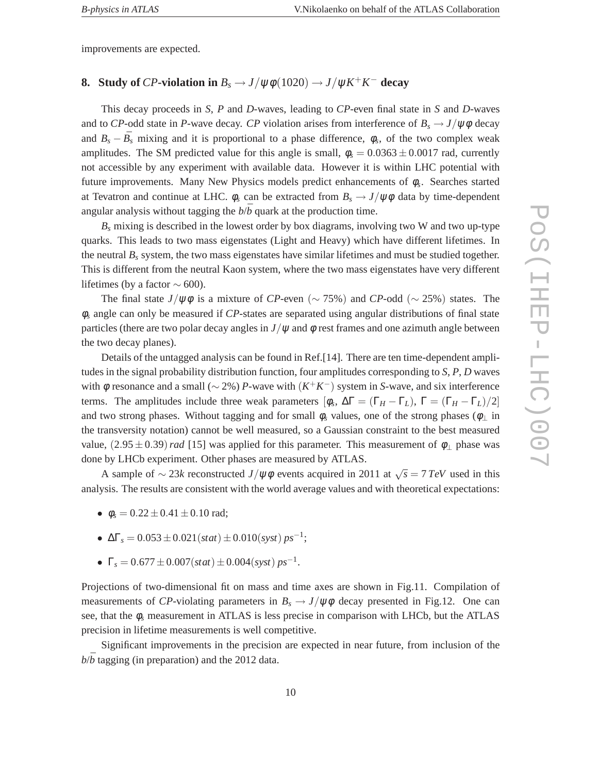improvements are expected.

### **8.** Study of *CP*-violation in  $B_s \to J/\psi \phi (1020) \to J/\psi K^+ K^-$  decay

This decay proceeds in *S*, *P* and *D*-waves, leading to *CP*-even final state in *S* and *D*-waves and to *CP*-odd state in *P*-wave decay. *CP* violation arises from interference of  $B_s \rightarrow J/\psi \phi$  decay and  $B_s - \bar{B}_s$  mixing and it is proportional to a phase difference,  $\phi_s$ , of the two complex weak amplitudes. The SM predicted value for this angle is small,  $\phi_s = 0.0363 \pm 0.0017$  rad, currently not accessible by any experiment with available data. However it is within LHC potential with future improvements. Many New Physics models predict enhancements of φ*<sup>s</sup>* . Searches started at Tevatron and continue at LHC.  $\phi_s$  can be extracted from  $B_s \to J/\psi \phi$  data by time-dependent angular analysis without tagging the  $b/\bar{b}$  quark at the production time.

 $B_s$  mixing is described in the lowest order by box diagrams, involving two W and two up-type quarks. This leads to two mass eigenstates (Light and Heavy) which have different lifetimes. In the neutral  $B_s$  system, the two mass eigenstates have similar lifetimes and must be studied together. This is different from the neutral Kaon system, where the two mass eigenstates have very different lifetimes (by a factor  $\sim$  600).

The final state *J*/ $\psi \phi$  is a mixture of *CP*-even (∼ 75%) and *CP*-odd (∼ 25%) states. The φ*<sup>s</sup>* angle can only be measured if *CP*-states are separated using angular distributions of final state particles (there are two polar decay angles in  $J/\psi$  and  $\phi$  rest frames and one azimuth angle between the two decay planes).

Details of the untagged analysis can be found in Ref.[14]. There are ten time-dependent amplitudes in the signal probability distribution function, four amplitudes corresponding to *S*, *P*, *D* waves with <sup>φ</sup> resonance and a small (∼ 2%) *P*-wave with (*K* <sup>+</sup>*K* −) system in *S*-wave, and six interference terms. The amplitudes include three weak parameters  $[\phi_s, \Delta \Gamma = (\Gamma_H - \Gamma_L), \Gamma = (\Gamma_H - \Gamma_L)/2]$ and two strong phases. Without tagging and for small  $\phi_s$  values, one of the strong phases ( $\phi_{\perp}$  in the transversity notation) cannot be well measured, so a Gaussian constraint to the best measured value,  $(2.95 \pm 0.39)$  *rad* [15] was applied for this parameter. This measurement of  $\phi_{\perp}$  phase was done by LHCb experiment. Other phases are measured by ATLAS.

A sample of  $\sim$  23*k* reconstructed *J*/ $\psi \phi$  events acquired in 2011 at  $\sqrt{s} = 7 \text{ TeV}$  used in this analysis. The results are consistent with the world average values and with theoretical expectations:

- $\phi_s = 0.22 \pm 0.41 \pm 0.10$  rad;
- $\Delta\Gamma_s = 0.053 \pm 0.021(stat) \pm 0.010(syst) ps^{-1};$
- $\Gamma_s = 0.677 \pm 0.007(stat) \pm 0.004(syst) ps^{-1}.$

Projections of two-dimensional fit on mass and time axes are shown in Fig.11. Compilation of measurements of *CP*-violating parameters in  $B_s \to J/\psi \phi$  decay presented in Fig.12. One can see, that the  $\phi_s$  measurement in ATLAS is less precise in comparison with LHCb, but the ATLAS precision in lifetime measurements is well competitive.

Significant improvements in the precision are expected in near future, from inclusion of the  $b/\overline{b}$  tagging (in preparation) and the 2012 data.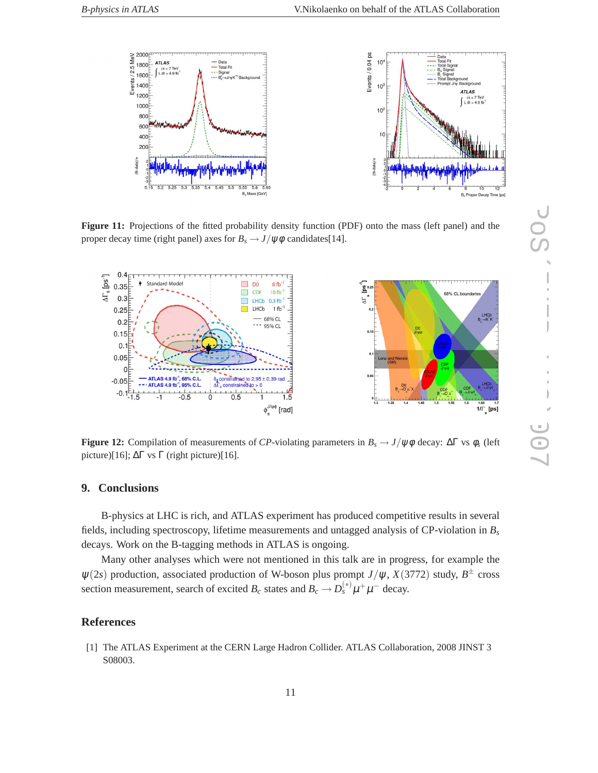

**Figure 11:** Projections of the fitted probability density function (PDF) onto the mass (left panel) and the proper decay time (right panel) axes for  $B_s \rightarrow J/\psi \phi$  candidates[14].



**Figure 12:** Compilation of measurements of *CP*-violating parameters in  $B_s \to J/\psi \phi$  decay:  $\Delta \Gamma$  vs  $\phi_s$  (left picture)[16];  $ΔΓ$  vs Γ (right picture)[16].

#### **9. Conclusions**

B-physics at LHC is rich, and ATLAS experiment has produced competitive results in several fields, including spectroscopy, lifetime measurements and untagged analysis of CP-violation in *B<sup>s</sup>* decays. Work on the B-tagging methods in ATLAS is ongoing.

Many other analyses which were not mentioned in this talk are in progress, for example the  $\psi(2s)$  production, associated production of W-boson plus prompt *J*/ $\psi$ , *X*(3772) study, *B*<sup> $\pm$ </sup> cross section measurement, search of excited  $B_c$  states and  $B_c \to D_s^{(*)} \mu^+ \mu^-$  decay.

#### **References**

[1] The ATLAS Experiment at the CERN Large Hadron Collider. ATLAS Collaboration, 2008 JINST 3 S08003.